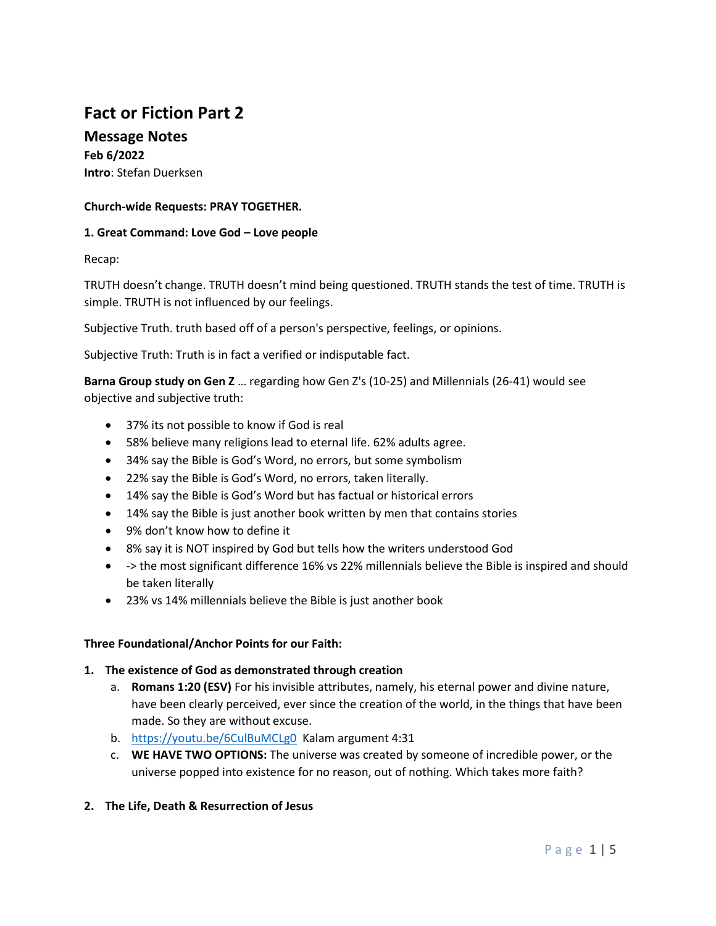# **Fact or Fiction Part 2**

**Message Notes Feb 6/2022 Intro**: Stefan Duerksen

## **Church-wide Requests: PRAY TOGETHER.**

#### **1. Great Command: Love God – Love people**

Recap:

TRUTH doesn't change. TRUTH doesn't mind being questioned. TRUTH stands the test of time. TRUTH is simple. TRUTH is not influenced by our feelings.

Subjective Truth. truth based off of a person's perspective, feelings, or opinions.

Subjective Truth: Truth is in fact a verified or indisputable fact.

**Barna Group study on Gen Z** … regarding how Gen Z's (10-25) and Millennials (26-41) would see objective and subjective truth:

- 37% its not possible to know if God is real
- 58% believe many religions lead to eternal life. 62% adults agree.
- 34% say the Bible is God's Word, no errors, but some symbolism
- 22% say the Bible is God's Word, no errors, taken literally.
- 14% say the Bible is God's Word but has factual or historical errors
- 14% say the Bible is just another book written by men that contains stories
- 9% don't know how to define it
- 8% say it is NOT inspired by God but tells how the writers understood God
- -> the most significant difference 16% vs 22% millennials believe the Bible is inspired and should be taken literally
- 23% vs 14% millennials believe the Bible is just another book

#### **Three Foundational/Anchor Points for our Faith:**

#### **1. The existence of God as demonstrated through creation**

- a. **Romans 1:20 (ESV)** For his invisible attributes, namely, his eternal power and divine nature, have been clearly perceived, ever since the creation of the world, in the things that have been made. So they are without excuse.
- b. <https://youtu.be/6CulBuMCLg0>Kalam argument 4:31
- c. **WE HAVE TWO OPTIONS:** The universe was created by someone of incredible power, or the universe popped into existence for no reason, out of nothing. Which takes more faith?
- **2. The Life, Death & Resurrection of Jesus**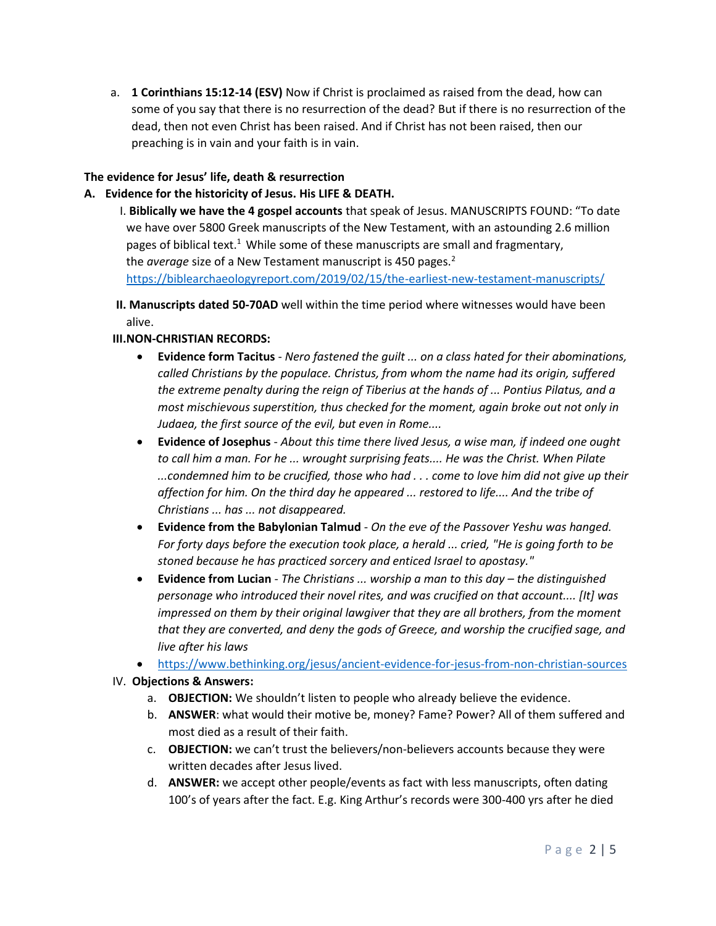a. **1 Corinthians 15:12-14 (ESV)** Now if Christ is proclaimed as raised from the dead, how can some of you say that there is no resurrection of the dead? But if there is no resurrection of the dead, then not even Christ has been raised. And if Christ has not been raised, then our preaching is in vain and your faith is in vain.

# **The evidence for Jesus' life, death & resurrection**

## **A. Evidence for the historicity of Jesus. His LIFE & DEATH.**

I. **Biblically we have the 4 gospel accounts** that speak of Jesus. MANUSCRIPTS FOUND: "To date we have over 5800 Greek manuscripts of the New Testament, with an astounding 2.6 million pages of biblical text.<sup>1</sup> While some of these manuscripts are small and fragmentary, the *average* size of a New Testament manuscript is 450 pages.<sup>2</sup> <https://biblearchaeologyreport.com/2019/02/15/the-earliest-new-testament-manuscripts/>

**II. Manuscripts dated 50-70AD** well within the time period where witnesses would have been alive.

#### **III.NON-CHRISTIAN RECORDS:**

- **Evidence form Tacitus** *Nero fastened the guilt ... on a class hated for their abominations, called Christians by the populace. Christus, from whom the name had its origin, suffered the extreme penalty during the reign of Tiberius at the hands of ... Pontius Pilatus, and a most mischievous superstition, thus checked for the moment, again broke out not only in Judaea, the first source of the evil, but even in Rome....*
- **Evidence of Josephus** *About this time there lived Jesus, a wise man, if indeed one ought to call him a man. For he ... wrought surprising feats.... He was the Christ. When Pilate ...condemned him to be crucified, those who had . . . come to love him did not give up their affection for him. On the third day he appeared ... restored to life.... And the tribe of Christians ... has ... not disappeared.*
- **Evidence from the Babylonian Talmud** *On the eve of the Passover Yeshu was hanged. For forty days before the execution took place, a herald ... cried, "He is going forth to be stoned because he has practiced sorcery and enticed Israel to apostasy."*
- **Evidence from Lucian** *The Christians ... worship a man to this day the distinguished personage who introduced their novel rites, and was crucified on that account.... [It] was impressed on them by their original lawgiver that they are all brothers, from the moment that they are converted, and deny the gods of Greece, and worship the crucified sage, and live after his laws*
- <https://www.bethinking.org/jesus/ancient-evidence-for-jesus-from-non-christian-sources>
- IV. **Objections & Answers:** 
	- a. **OBJECTION:** We shouldn't listen to people who already believe the evidence.
	- b. **ANSWER**: what would their motive be, money? Fame? Power? All of them suffered and most died as a result of their faith.
	- c. **OBJECTION:** we can't trust the believers/non-believers accounts because they were written decades after Jesus lived.
	- d. **ANSWER:** we accept other people/events as fact with less manuscripts, often dating 100's of years after the fact. E.g. King Arthur's records were 300-400 yrs after he died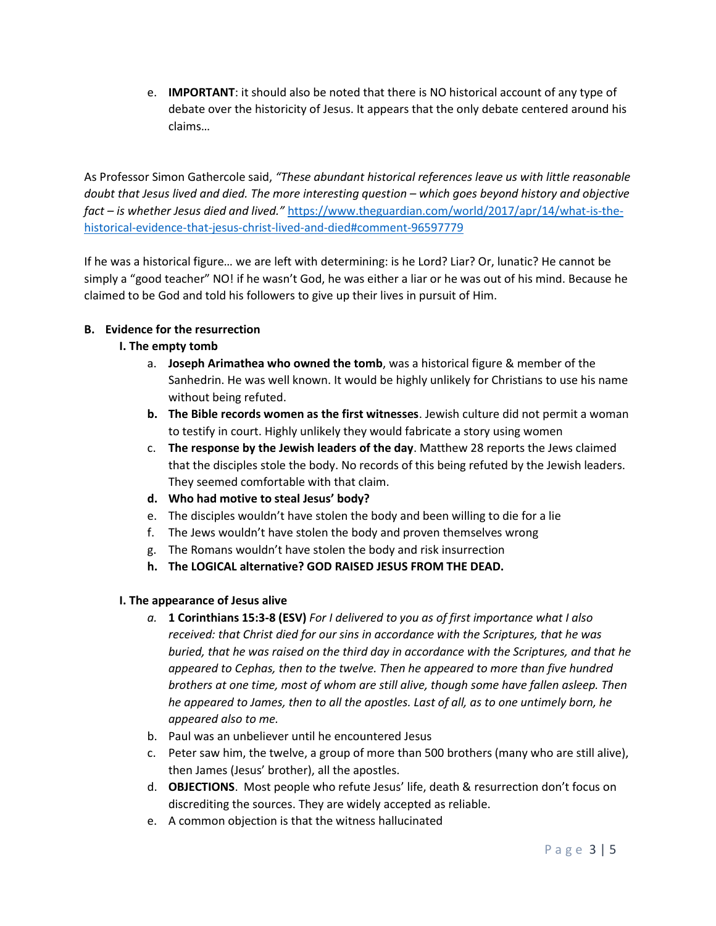e. **IMPORTANT**: it should also be noted that there is NO historical account of any type of debate over the historicity of Jesus. It appears that the only debate centered around his claims…

As Professor Simon Gathercole said, *"These abundant historical references leave us with little reasonable doubt that Jesus lived and died. The more interesting question – which goes beyond history and objective fact – is whether Jesus died and lived."* [https://www.theguardian.com/world/2017/apr/14/what-is-the](https://www.theguardian.com/world/2017/apr/14/what-is-the-historical-evidence-that-jesus-christ-lived-and-died#comment-96597779)[historical-evidence-that-jesus-christ-lived-and-died#comment-96597779](https://www.theguardian.com/world/2017/apr/14/what-is-the-historical-evidence-that-jesus-christ-lived-and-died#comment-96597779)

If he was a historical figure… we are left with determining: is he Lord? Liar? Or, lunatic? He cannot be simply a "good teacher" NO! if he wasn't God, he was either a liar or he was out of his mind. Because he claimed to be God and told his followers to give up their lives in pursuit of Him.

# **B. Evidence for the resurrection**

# **I. The empty tomb**

- a. **Joseph Arimathea who owned the tomb**, was a historical figure & member of the Sanhedrin. He was well known. It would be highly unlikely for Christians to use his name without being refuted.
- **b. The Bible records women as the first witnesses**. Jewish culture did not permit a woman to testify in court. Highly unlikely they would fabricate a story using women
- c. **The response by the Jewish leaders of the day**. Matthew 28 reports the Jews claimed that the disciples stole the body. No records of this being refuted by the Jewish leaders. They seemed comfortable with that claim.
- **d. Who had motive to steal Jesus' body?**
- e. The disciples wouldn't have stolen the body and been willing to die for a lie
- f. The Jews wouldn't have stolen the body and proven themselves wrong
- g. The Romans wouldn't have stolen the body and risk insurrection
- **h. The LOGICAL alternative? GOD RAISED JESUS FROM THE DEAD.**

#### **I. The appearance of Jesus alive**

- *a.* **1 Corinthians 15:3-8 (ESV)** *For I delivered to you as of first importance what I also received: that Christ died for our sins in accordance with the Scriptures, that he was buried, that he was raised on the third day in accordance with the Scriptures, and that he appeared to Cephas, then to the twelve. Then he appeared to more than five hundred brothers at one time, most of whom are still alive, though some have fallen asleep. Then he appeared to James, then to all the apostles. Last of all, as to one untimely born, he appeared also to me.*
- b. Paul was an unbeliever until he encountered Jesus
- c. Peter saw him, the twelve, a group of more than 500 brothers (many who are still alive), then James (Jesus' brother), all the apostles.
- d. **OBJECTIONS**. Most people who refute Jesus' life, death & resurrection don't focus on discrediting the sources. They are widely accepted as reliable.
- e. A common objection is that the witness hallucinated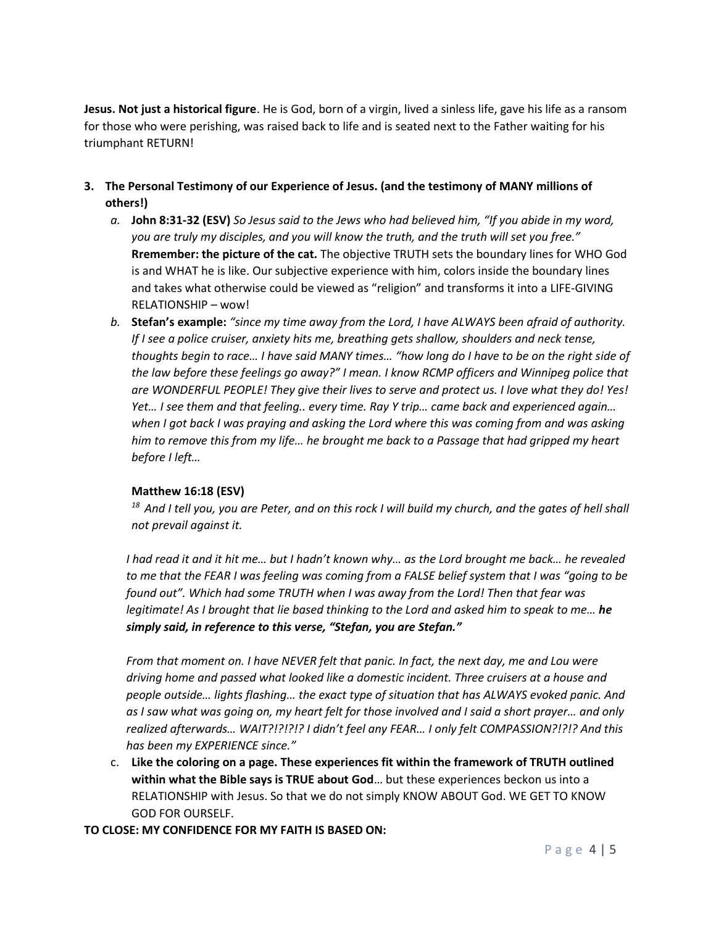**Jesus. Not just a historical figure**. He is God, born of a virgin, lived a sinless life, gave his life as a ransom for those who were perishing, was raised back to life and is seated next to the Father waiting for his triumphant RETURN!

- **3. The Personal Testimony of our Experience of Jesus. (and the testimony of MANY millions of others!)**
	- *a.* **John 8:31-32 (ESV)** *So Jesus said to the Jews who had believed him, "If you abide in my word, you are truly my disciples, and you will know the truth, and the truth will set you free."*  **Rremember: the picture of the cat.** The objective TRUTH sets the boundary lines for WHO God is and WHAT he is like. Our subjective experience with him, colors inside the boundary lines and takes what otherwise could be viewed as "religion" and transforms it into a LIFE-GIVING RELATIONSHIP – wow!
	- *b.* **Stefan's example:** *"since my time away from the Lord, I have ALWAYS been afraid of authority. If I see a police cruiser, anxiety hits me, breathing gets shallow, shoulders and neck tense, thoughts begin to race… I have said MANY times… "how long do I have to be on the right side of the law before these feelings go away?" I mean. I know RCMP officers and Winnipeg police that are WONDERFUL PEOPLE! They give their lives to serve and protect us. I love what they do! Yes! Yet… I see them and that feeling.. every time. Ray Y trip… came back and experienced again… when I got back I was praying and asking the Lord where this was coming from and was asking him to remove this from my life… he brought me back to a Passage that had gripped my heart before I left…*

# **Matthew 16:18 (ESV)**

*<sup>18</sup>And I tell you, you are Peter, and on this rock I will build my church, and the gates of hell shall not prevail against it.*

*I had read it and it hit me… but I hadn't known why… as the Lord brought me back… he revealed to me that the FEAR I was feeling was coming from a FALSE belief system that I was "going to be found out". Which had some TRUTH when I was away from the Lord! Then that fear was legitimate! As I brought that lie based thinking to the Lord and asked him to speak to me… he simply said, in reference to this verse, "Stefan, you are Stefan."*

*From that moment on. I have NEVER felt that panic. In fact, the next day, me and Lou were driving home and passed what looked like a domestic incident. Three cruisers at a house and people outside… lights flashing… the exact type of situation that has ALWAYS evoked panic. And as I saw what was going on, my heart felt for those involved and I said a short prayer… and only realized afterwards… WAIT?!?!?!? I didn't feel any FEAR… I only felt COMPASSION?!?!? And this has been my EXPERIENCE since."*

c. **Like the coloring on a page. These experiences fit within the framework of TRUTH outlined within what the Bible says is TRUE about God**… but these experiences beckon us into a RELATIONSHIP with Jesus. So that we do not simply KNOW ABOUT God. WE GET TO KNOW GOD FOR OURSELF.

**TO CLOSE: MY CONFIDENCE FOR MY FAITH IS BASED ON:**